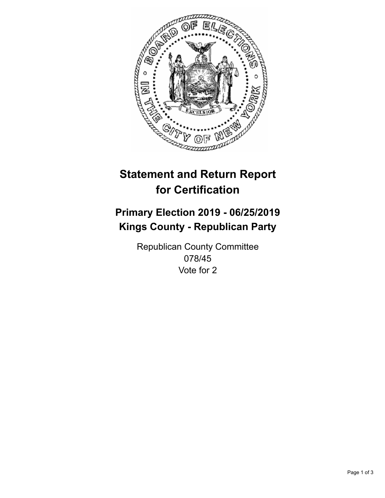

## **Statement and Return Report for Certification**

## **Primary Election 2019 - 06/25/2019 Kings County - Republican Party**

Republican County Committee 078/45 Vote for 2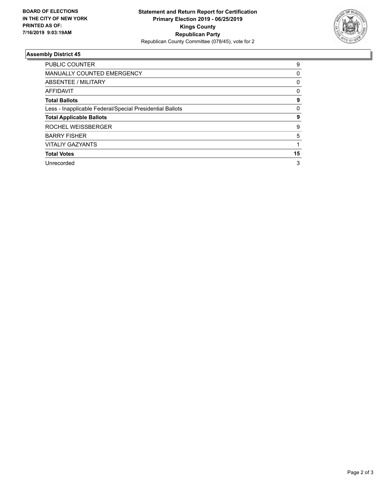

## **Assembly District 45**

| <b>PUBLIC COUNTER</b>                                    | 9  |
|----------------------------------------------------------|----|
| <b>MANUALLY COUNTED EMERGENCY</b>                        | 0  |
| ABSENTEE / MILITARY                                      | 0  |
| AFFIDAVIT                                                | 0  |
| <b>Total Ballots</b>                                     | 9  |
| Less - Inapplicable Federal/Special Presidential Ballots | 0  |
| <b>Total Applicable Ballots</b>                          | 9  |
| ROCHEL WEISSBERGER                                       | 9  |
| <b>BARRY FISHER</b>                                      | 5  |
| <b>VITALIY GAZYANTS</b>                                  |    |
| <b>Total Votes</b>                                       | 15 |
| Unrecorded                                               | 3  |